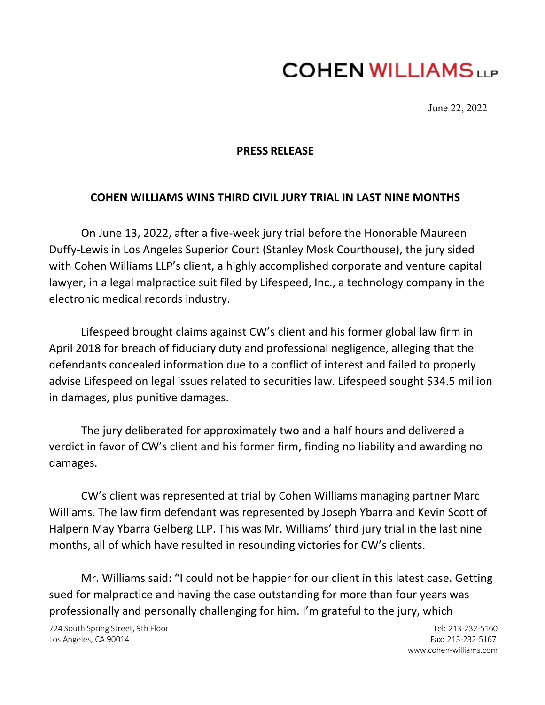## **COHEN WILLIAMS**

June 22, 2022

## **PRESS RELEASE**

## **COHEN WILLIAMS WINS THIRD CIVIL JURY TRIAL IN LAST NINE MONTHS**

On June 13, 2022, after a five-week jury trial before the Honorable Maureen Duffy-Lewis in Los Angeles Superior Court (Stanley Mosk Courthouse), the jury sided with Cohen Williams LLP's client, a highly accomplished corporate and venture capital lawyer, in a legal malpractice suit filed by Lifespeed, Inc., a technology company in the electronic medical records industry.

Lifespeed brought claims against CW's client and his former global law firm in April 2018 for breach of fiduciary duty and professional negligence, alleging that the defendants concealed information due to a conflict of interest and failed to properly advise Lifespeed on legal issues related to securities law. Lifespeed sought \$34.5 million in damages, plus punitive damages.

The jury deliberated for approximately two and a half hours and delivered a verdict in favor of CW's client and his former firm, finding no liability and awarding no damages.

CW's client was represented at trial by Cohen Williams managing partner Marc Williams. The law firm defendant was represented by Joseph Ybarra and Kevin Scott of Halpern May Ybarra Gelberg LLP. This was Mr. Williams' third jury trial in the last nine months, all of which have resulted in resounding victories for CW's clients.

Mr. Williams said: "I could not be happier for our client in this latest case. Getting sued for malpractice and having the case outstanding for more than four years was professionally and personally challenging for him. I'm grateful to the jury, which